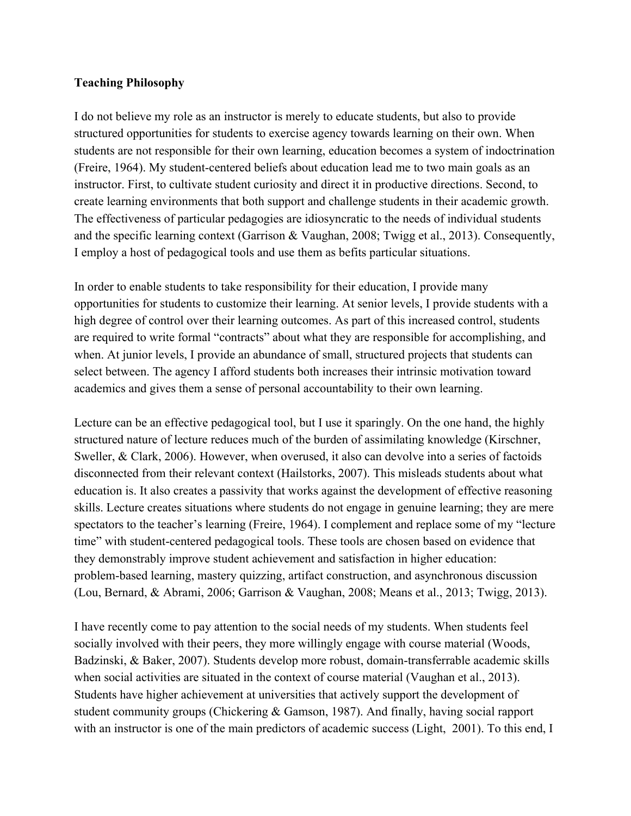## **Teaching Philosophy**

I do not believe my role as an instructor is merely to educate students, but also to provide structured opportunities for students to exercise agency towards learning on their own. When students are not responsible for their own learning, education becomes a system of indoctrination (Freire, 1964). My student-centered beliefs about education lead me to two main goals as an instructor. First, to cultivate student curiosity and direct it in productive directions. Second, to create learning environments that both support and challenge students in their academic growth. The effectiveness of particular pedagogies are idiosyncratic to the needs of individual students and the specific learning context (Garrison & Vaughan, 2008; Twigg et al., 2013). Consequently, I employ a host of pedagogical tools and use them as befits particular situations.

In order to enable students to take responsibility for their education, I provide many opportunities for students to customize their learning. At senior levels, I provide students with a high degree of control over their learning outcomes. As part of this increased control, students are required to write formal "contracts" about what they are responsible for accomplishing, and when. At junior levels, I provide an abundance of small, structured projects that students can select between. The agency I afford students both increases their intrinsic motivation toward academics and gives them a sense of personal accountability to their own learning.

Lecture can be an effective pedagogical tool, but I use it sparingly. On the one hand, the highly structured nature of lecture reduces much of the burden of assimilating knowledge (Kirschner, Sweller, & Clark, 2006). However, when overused, it also can devolve into a series of factoids disconnected from their relevant context (Hailstorks, 2007). This misleads students about what education is. It also creates a passivity that works against the development of effective reasoning skills. Lecture creates situations where students do not engage in genuine learning; they are mere spectators to the teacher's learning (Freire, 1964). I complement and replace some of my "lecture time" with student-centered pedagogical tools. These tools are chosen based on evidence that they demonstrably improve student achievement and satisfaction in higher education: problem-based learning, mastery quizzing, artifact construction, and asynchronous discussion (Lou, Bernard, & Abrami, 2006; Garrison & Vaughan, 2008; Means et al., 2013; Twigg, 2013).

I have recently come to pay attention to the social needs of my students. When students feel socially involved with their peers, they more willingly engage with course material (Woods, Badzinski, & Baker, 2007). Students develop more robust, domain-transferrable academic skills when social activities are situated in the context of course material (Vaughan et al., 2013). Students have higher achievement at universities that actively support the development of student community groups (Chickering & Gamson, 1987). And finally, having social rapport with an instructor is one of the main predictors of academic success (Light, 2001). To this end, I